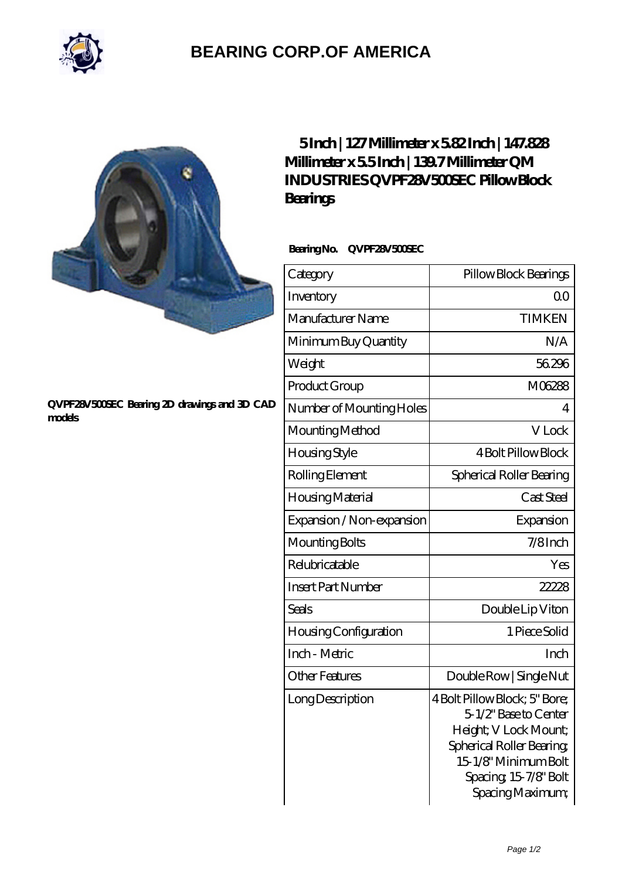

## **[BEARING CORP.OF AMERICA](https://bluemondayreview.com)**

## **[QVPF28V500SEC Bearing 2D drawings and 3D CAD](https://bluemondayreview.com/pic-177096.html) [models](https://bluemondayreview.com/pic-177096.html)**

## **[5 Inch | 127 Millimeter x 5.82 Inch | 147.828](https://bluemondayreview.com/bb-177096-qm-industries-qvpf28v500sec-pillow-block-bearings.html) [Millimeter x 5.5 Inch | 139.7 Millimeter QM](https://bluemondayreview.com/bb-177096-qm-industries-qvpf28v500sec-pillow-block-bearings.html) [INDUSTRIES QVPF28V500SEC Pillow Block](https://bluemondayreview.com/bb-177096-qm-industries-qvpf28v500sec-pillow-block-bearings.html) [Bearings](https://bluemondayreview.com/bb-177096-qm-industries-qvpf28v500sec-pillow-block-bearings.html)**

 **Bearing No. QVPF28V500SEC**

| Category                  | Pillow Block Bearings                                                                                                                                                            |
|---------------------------|----------------------------------------------------------------------------------------------------------------------------------------------------------------------------------|
| Inventory                 | $\Omega$ <sup>O</sup>                                                                                                                                                            |
| Manufacturer Name         | <b>TIMKEN</b>                                                                                                                                                                    |
| Minimum Buy Quantity      | N/A                                                                                                                                                                              |
| Weight                    | 56296                                                                                                                                                                            |
| Product Group             | M06288                                                                                                                                                                           |
| Number of Mounting Holes  | 4                                                                                                                                                                                |
| Mounting Method           | V Lock                                                                                                                                                                           |
| Housing Style             | <b>4 Bolt Pillow Block</b>                                                                                                                                                       |
| Rolling Element           | Spherical Roller Bearing                                                                                                                                                         |
| Housing Material          | Cast Steel                                                                                                                                                                       |
| Expansion / Non-expansion | Expansion                                                                                                                                                                        |
| Mounting Bolts            | $7/8$ Inch                                                                                                                                                                       |
| Relubricatable            | Yes                                                                                                                                                                              |
| <b>Insert Part Number</b> | 22228                                                                                                                                                                            |
| <b>Seals</b>              | Double Lip Viton                                                                                                                                                                 |
| Housing Configuration     | 1 Piece Solid                                                                                                                                                                    |
| Inch - Metric             | Inch                                                                                                                                                                             |
| <b>Other Features</b>     | Double Row   Single Nut                                                                                                                                                          |
| Long Description          | 4 Bolt Pillow Block; 5" Bore;<br>51/2" Base to Center<br>Height; V Lock Mount;<br>Spherical Roller Bearing,<br>15-1/8" Minimum Bolt<br>Spacing, 15-7/8" Bolt<br>Spacing Maximum; |